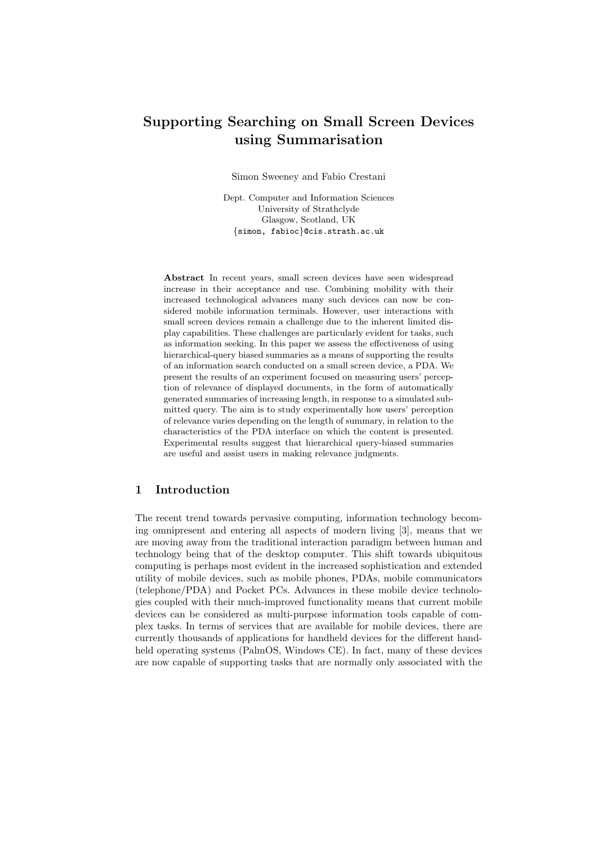# Supporting Searching on Small Screen Devices using Summarisation

Simon Sweeney and Fabio Crestani

Dept. Computer and Information Sciences University of Strathclyde Glasgow, Scotland, UK {simon, fabioc}@cis.strath.ac.uk

Abstract In recent years, small screen devices have seen widespread increase in their acceptance and use. Combining mobility with their increased technological advances many such devices can now be considered mobile information terminals. However, user interactions with small screen devices remain a challenge due to the inherent limited display capabilities. These challenges are particularly evident for tasks, such as information seeking. In this paper we assess the effectiveness of using hierarchical-query biased summaries as a means of supporting the results of an information search conducted on a small screen device, a PDA. We present the results of an experiment focused on measuring users' perception of relevance of displayed documents, in the form of automatically generated summaries of increasing length, in response to a simulated submitted query. The aim is to study experimentally how users' perception of relevance varies depending on the length of summary, in relation to the characteristics of the PDA interface on which the content is presented. Experimental results suggest that hierarchical query-biased summaries are useful and assist users in making relevance judgments.

# 1 Introduction

The recent trend towards pervasive computing, information technology becoming omnipresent and entering all aspects of modern living [3], means that we are moving away from the traditional interaction paradigm between human and technology being that of the desktop computer. This shift towards ubiquitous computing is perhaps most evident in the increased sophistication and extended utility of mobile devices, such as mobile phones, PDAs, mobile communicators (telephone/PDA) and Pocket PCs. Advances in these mobile device technologies coupled with their much-improved functionality means that current mobile devices can be considered as multi-purpose information tools capable of complex tasks. In terms of services that are available for mobile devices, there are currently thousands of applications for handheld devices for the different handheld operating systems (PalmOS, Windows CE). In fact, many of these devices are now capable of supporting tasks that are normally only associated with the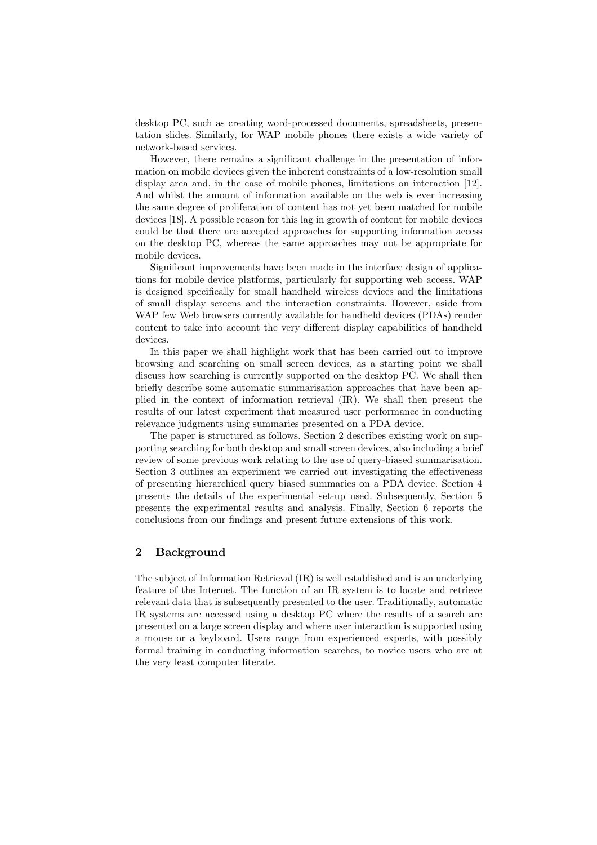desktop PC, such as creating word-processed documents, spreadsheets, presentation slides. Similarly, for WAP mobile phones there exists a wide variety of network-based services.

However, there remains a significant challenge in the presentation of information on mobile devices given the inherent constraints of a low-resolution small display area and, in the case of mobile phones, limitations on interaction [12]. And whilst the amount of information available on the web is ever increasing the same degree of proliferation of content has not yet been matched for mobile devices [18]. A possible reason for this lag in growth of content for mobile devices could be that there are accepted approaches for supporting information access on the desktop PC, whereas the same approaches may not be appropriate for mobile devices.

Significant improvements have been made in the interface design of applications for mobile device platforms, particularly for supporting web access. WAP is designed specifically for small handheld wireless devices and the limitations of small display screens and the interaction constraints. However, aside from WAP few Web browsers currently available for handheld devices (PDAs) render content to take into account the very different display capabilities of handheld devices.

In this paper we shall highlight work that has been carried out to improve browsing and searching on small screen devices, as a starting point we shall discuss how searching is currently supported on the desktop PC. We shall then briefly describe some automatic summarisation approaches that have been applied in the context of information retrieval (IR). We shall then present the results of our latest experiment that measured user performance in conducting relevance judgments using summaries presented on a PDA device.

The paper is structured as follows. Section 2 describes existing work on supporting searching for both desktop and small screen devices, also including a brief review of some previous work relating to the use of query-biased summarisation. Section 3 outlines an experiment we carried out investigating the effectiveness of presenting hierarchical query biased summaries on a PDA device. Section 4 presents the details of the experimental set-up used. Subsequently, Section 5 presents the experimental results and analysis. Finally, Section 6 reports the conclusions from our findings and present future extensions of this work.

# 2 Background

The subject of Information Retrieval (IR) is well established and is an underlying feature of the Internet. The function of an IR system is to locate and retrieve relevant data that is subsequently presented to the user. Traditionally, automatic IR systems are accessed using a desktop PC where the results of a search are presented on a large screen display and where user interaction is supported using a mouse or a keyboard. Users range from experienced experts, with possibly formal training in conducting information searches, to novice users who are at the very least computer literate.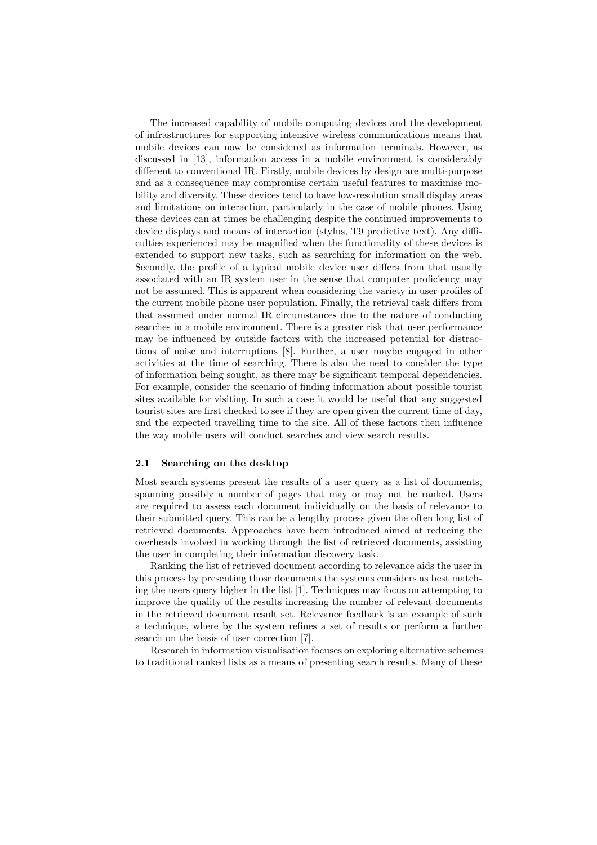The increased capability of mobile computing devices and the development of infrastructures for supporting intensive wireless communications means that mobile devices can now be considered as information terminals. However, as discussed in [13], information access in a mobile environment is considerably different to conventional IR. Firstly, mobile devices by design are multi-purpose and as a consequence may compromise certain useful features to maximise mobility and diversity. These devices tend to have low-resolution small display areas and limitations on interaction, particularly in the case of mobile phones. Using these devices can at times be challenging despite the continued improvements to device displays and means of interaction (stylus, T9 predictive text). Any difficulties experienced may be magnified when the functionality of these devices is extended to support new tasks, such as searching for information on the web. Secondly, the profile of a typical mobile device user differs from that usually associated with an IR system user in the sense that computer proficiency may not be assumed. This is apparent when considering the variety in user profiles of the current mobile phone user population. Finally, the retrieval task differs from that assumed under normal IR circumstances due to the nature of conducting searches in a mobile environment. There is a greater risk that user performance may be influenced by outside factors with the increased potential for distractions of noise and interruptions [8]. Further, a user maybe engaged in other activities at the time of searching. There is also the need to consider the type of information being sought, as there may be significant temporal dependencies. For example, consider the scenario of finding information about possible tourist sites available for visiting. In such a case it would be useful that any suggested tourist sites are first checked to see if they are open given the current time of day, and the expected travelling time to the site. All of these factors then influence the way mobile users will conduct searches and view search results.

#### 2.1 Searching on the desktop

Most search systems present the results of a user query as a list of documents, spanning possibly a number of pages that may or may not be ranked. Users are required to assess each document individually on the basis of relevance to their submitted query. This can be a lengthy process given the often long list of retrieved documents. Approaches have been introduced aimed at reducing the overheads involved in working through the list of retrieved documents, assisting the user in completing their information discovery task.

Ranking the list of retrieved document according to relevance aids the user in this process by presenting those documents the systems considers as best matching the users query higher in the list [1]. Techniques may focus on attempting to improve the quality of the results increasing the number of relevant documents in the retrieved document result set. Relevance feedback is an example of such a technique, where by the system refines a set of results or perform a further search on the basis of user correction [7].

Research in information visualisation focuses on exploring alternative schemes to traditional ranked lists as a means of presenting search results. Many of these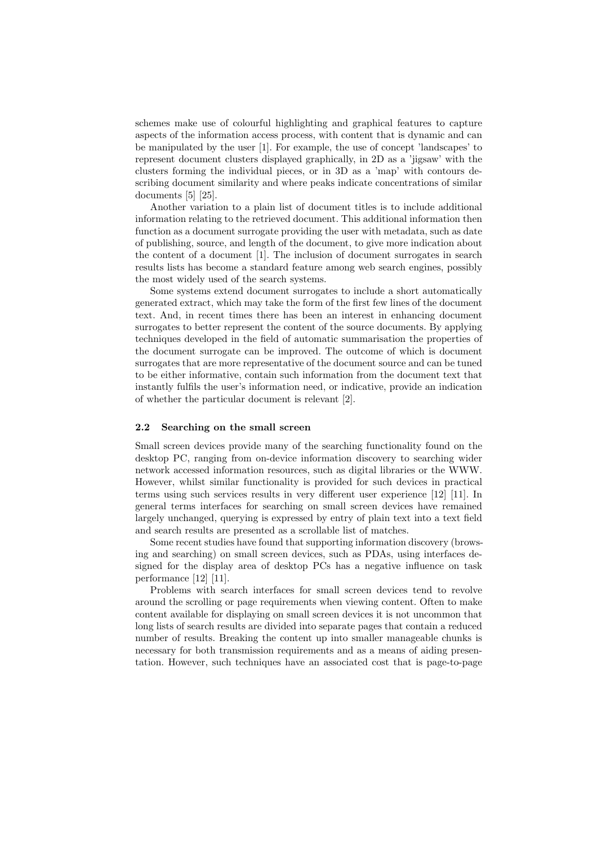schemes make use of colourful highlighting and graphical features to capture aspects of the information access process, with content that is dynamic and can be manipulated by the user [1]. For example, the use of concept 'landscapes' to represent document clusters displayed graphically, in 2D as a 'jigsaw' with the clusters forming the individual pieces, or in 3D as a 'map' with contours describing document similarity and where peaks indicate concentrations of similar documents [5] [25].

Another variation to a plain list of document titles is to include additional information relating to the retrieved document. This additional information then function as a document surrogate providing the user with metadata, such as date of publishing, source, and length of the document, to give more indication about the content of a document [1]. The inclusion of document surrogates in search results lists has become a standard feature among web search engines, possibly the most widely used of the search systems.

Some systems extend document surrogates to include a short automatically generated extract, which may take the form of the first few lines of the document text. And, in recent times there has been an interest in enhancing document surrogates to better represent the content of the source documents. By applying techniques developed in the field of automatic summarisation the properties of the document surrogate can be improved. The outcome of which is document surrogates that are more representative of the document source and can be tuned to be either informative, contain such information from the document text that instantly fulfils the user's information need, or indicative, provide an indication of whether the particular document is relevant [2].

#### 2.2 Searching on the small screen

Small screen devices provide many of the searching functionality found on the desktop PC, ranging from on-device information discovery to searching wider network accessed information resources, such as digital libraries or the WWW. However, whilst similar functionality is provided for such devices in practical terms using such services results in very different user experience [12] [11]. In general terms interfaces for searching on small screen devices have remained largely unchanged, querying is expressed by entry of plain text into a text field and search results are presented as a scrollable list of matches.

Some recent studies have found that supporting information discovery (browsing and searching) on small screen devices, such as PDAs, using interfaces designed for the display area of desktop PCs has a negative influence on task performance [12] [11].

Problems with search interfaces for small screen devices tend to revolve around the scrolling or page requirements when viewing content. Often to make content available for displaying on small screen devices it is not uncommon that long lists of search results are divided into separate pages that contain a reduced number of results. Breaking the content up into smaller manageable chunks is necessary for both transmission requirements and as a means of aiding presentation. However, such techniques have an associated cost that is page-to-page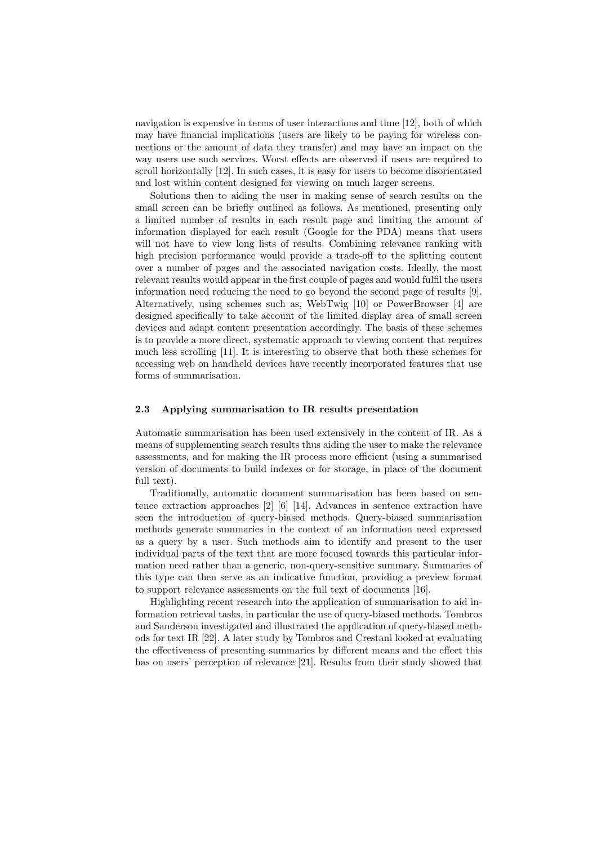navigation is expensive in terms of user interactions and time [12], both of which may have financial implications (users are likely to be paying for wireless connections or the amount of data they transfer) and may have an impact on the way users use such services. Worst effects are observed if users are required to scroll horizontally [12]. In such cases, it is easy for users to become disorientated and lost within content designed for viewing on much larger screens.

Solutions then to aiding the user in making sense of search results on the small screen can be briefly outlined as follows. As mentioned, presenting only a limited number of results in each result page and limiting the amount of information displayed for each result (Google for the PDA) means that users will not have to view long lists of results. Combining relevance ranking with high precision performance would provide a trade-off to the splitting content over a number of pages and the associated navigation costs. Ideally, the most relevant results would appear in the first couple of pages and would fulfil the users information need reducing the need to go beyond the second page of results [9]. Alternatively, using schemes such as, WebTwig [10] or PowerBrowser [4] are designed specifically to take account of the limited display area of small screen devices and adapt content presentation accordingly. The basis of these schemes is to provide a more direct, systematic approach to viewing content that requires much less scrolling [11]. It is interesting to observe that both these schemes for accessing web on handheld devices have recently incorporated features that use forms of summarisation.

#### 2.3 Applying summarisation to IR results presentation

Automatic summarisation has been used extensively in the content of IR. As a means of supplementing search results thus aiding the user to make the relevance assessments, and for making the IR process more efficient (using a summarised version of documents to build indexes or for storage, in place of the document full text).

Traditionally, automatic document summarisation has been based on sentence extraction approaches [2] [6] [14]. Advances in sentence extraction have seen the introduction of query-biased methods. Query-biased summarisation methods generate summaries in the context of an information need expressed as a query by a user. Such methods aim to identify and present to the user individual parts of the text that are more focused towards this particular information need rather than a generic, non-query-sensitive summary. Summaries of this type can then serve as an indicative function, providing a preview format to support relevance assessments on the full text of documents [16].

Highlighting recent research into the application of summarisation to aid information retrieval tasks, in particular the use of query-biased methods. Tombros and Sanderson investigated and illustrated the application of query-biased methods for text IR [22]. A later study by Tombros and Crestani looked at evaluating the effectiveness of presenting summaries by different means and the effect this has on users' perception of relevance [21]. Results from their study showed that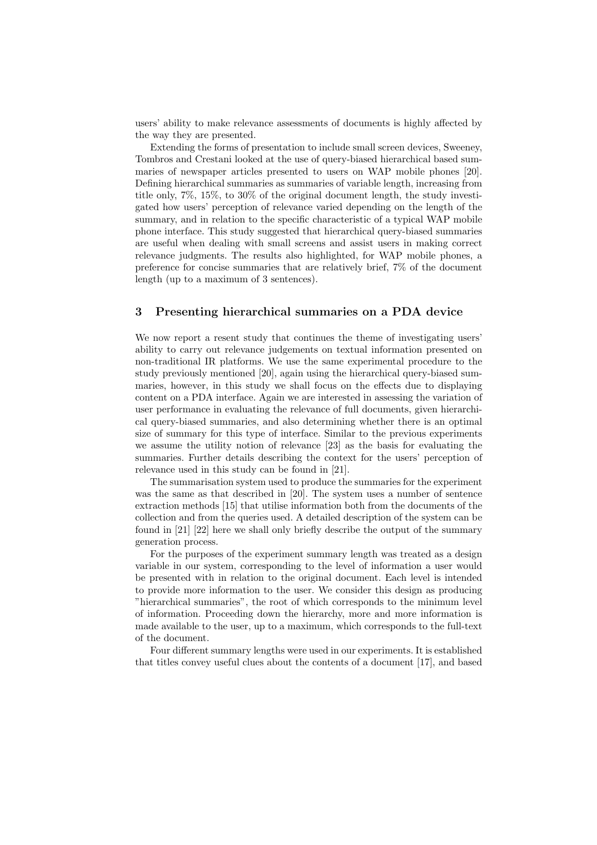users' ability to make relevance assessments of documents is highly affected by the way they are presented.

Extending the forms of presentation to include small screen devices, Sweeney, Tombros and Crestani looked at the use of query-biased hierarchical based summaries of newspaper articles presented to users on WAP mobile phones [20]. Defining hierarchical summaries as summaries of variable length, increasing from title only, 7%, 15%, to 30% of the original document length, the study investigated how users' perception of relevance varied depending on the length of the summary, and in relation to the specific characteristic of a typical WAP mobile phone interface. This study suggested that hierarchical query-biased summaries are useful when dealing with small screens and assist users in making correct relevance judgments. The results also highlighted, for WAP mobile phones, a preference for concise summaries that are relatively brief, 7% of the document length (up to a maximum of 3 sentences).

#### 3 Presenting hierarchical summaries on a PDA device

We now report a resent study that continues the theme of investigating users' ability to carry out relevance judgements on textual information presented on non-traditional IR platforms. We use the same experimental procedure to the study previously mentioned [20], again using the hierarchical query-biased summaries, however, in this study we shall focus on the effects due to displaying content on a PDA interface. Again we are interested in assessing the variation of user performance in evaluating the relevance of full documents, given hierarchical query-biased summaries, and also determining whether there is an optimal size of summary for this type of interface. Similar to the previous experiments we assume the utility notion of relevance [23] as the basis for evaluating the summaries. Further details describing the context for the users' perception of relevance used in this study can be found in [21].

The summarisation system used to produce the summaries for the experiment was the same as that described in [20]. The system uses a number of sentence extraction methods [15] that utilise information both from the documents of the collection and from the queries used. A detailed description of the system can be found in [21] [22] here we shall only briefly describe the output of the summary generation process.

For the purposes of the experiment summary length was treated as a design variable in our system, corresponding to the level of information a user would be presented with in relation to the original document. Each level is intended to provide more information to the user. We consider this design as producing "hierarchical summaries", the root of which corresponds to the minimum level of information. Proceeding down the hierarchy, more and more information is made available to the user, up to a maximum, which corresponds to the full-text of the document.

Four different summary lengths were used in our experiments. It is established that titles convey useful clues about the contents of a document [17], and based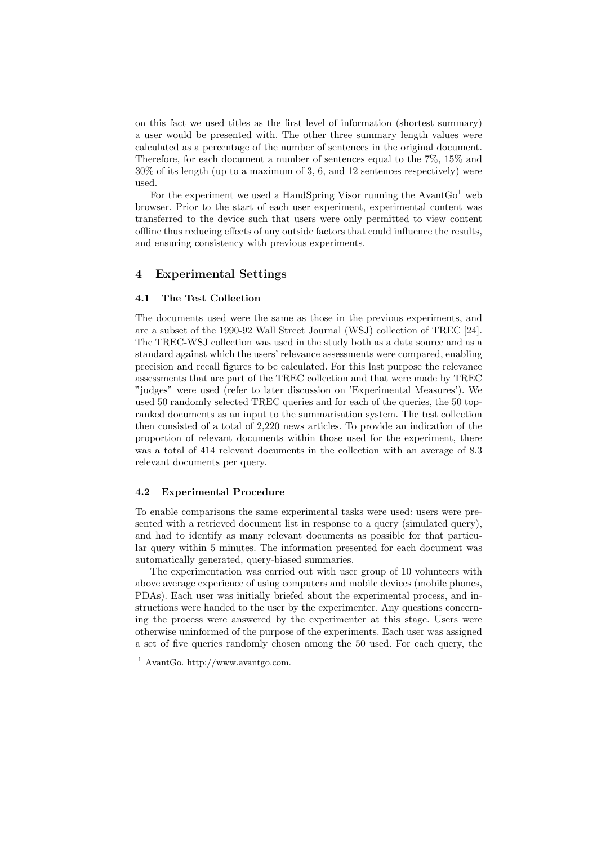on this fact we used titles as the first level of information (shortest summary) a user would be presented with. The other three summary length values were calculated as a percentage of the number of sentences in the original document. Therefore, for each document a number of sentences equal to the 7%, 15% and 30% of its length (up to a maximum of 3, 6, and 12 sentences respectively) were used.

For the experiment we used a HandSpring Visor running the  $AvarG_0^1$  web browser. Prior to the start of each user experiment, experimental content was transferred to the device such that users were only permitted to view content offline thus reducing effects of any outside factors that could influence the results, and ensuring consistency with previous experiments.

## 4 Experimental Settings

#### 4.1 The Test Collection

The documents used were the same as those in the previous experiments, and are a subset of the 1990-92 Wall Street Journal (WSJ) collection of TREC [24]. The TREC-WSJ collection was used in the study both as a data source and as a standard against which the users' relevance assessments were compared, enabling precision and recall figures to be calculated. For this last purpose the relevance assessments that are part of the TREC collection and that were made by TREC "judges" were used (refer to later discussion on 'Experimental Measures'). We used 50 randomly selected TREC queries and for each of the queries, the 50 topranked documents as an input to the summarisation system. The test collection then consisted of a total of 2,220 news articles. To provide an indication of the proportion of relevant documents within those used for the experiment, there was a total of 414 relevant documents in the collection with an average of 8.3 relevant documents per query.

#### 4.2 Experimental Procedure

To enable comparisons the same experimental tasks were used: users were presented with a retrieved document list in response to a query (simulated query), and had to identify as many relevant documents as possible for that particular query within 5 minutes. The information presented for each document was automatically generated, query-biased summaries.

The experimentation was carried out with user group of 10 volunteers with above average experience of using computers and mobile devices (mobile phones, PDAs). Each user was initially briefed about the experimental process, and instructions were handed to the user by the experimenter. Any questions concerning the process were answered by the experimenter at this stage. Users were otherwise uninformed of the purpose of the experiments. Each user was assigned a set of five queries randomly chosen among the 50 used. For each query, the

 $1$  AvantGo. http://www.avantgo.com.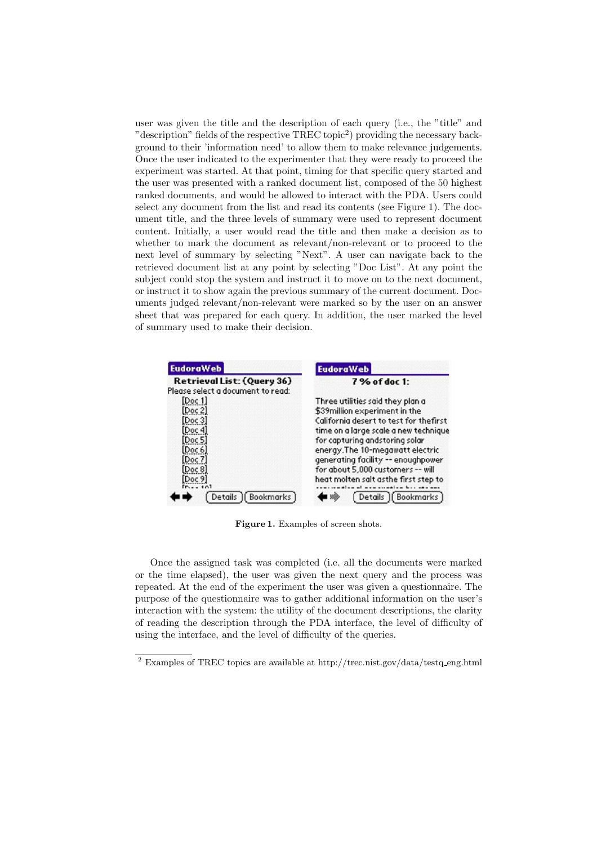user was given the title and the description of each query (i.e., the "title" and "description" fields of the respective TREC topic<sup>2</sup>) providing the necessary background to their 'information need' to allow them to make relevance judgements. Once the user indicated to the experimenter that they were ready to proceed the experiment was started. At that point, timing for that specific query started and the user was presented with a ranked document list, composed of the 50 highest ranked documents, and would be allowed to interact with the PDA. Users could select any document from the list and read its contents (see Figure 1). The document title, and the three levels of summary were used to represent document content. Initially, a user would read the title and then make a decision as to whether to mark the document as relevant/non-relevant or to proceed to the next level of summary by selecting "Next". A user can navigate back to the retrieved document list at any point by selecting "Doc List". At any point the subject could stop the system and instruct it to move on to the next document, or instruct it to show again the previous summary of the current document. Documents judged relevant/non-relevant were marked so by the user on an answer sheet that was prepared for each query. In addition, the user marked the level of summary used to make their decision.

| <b>EudoraWeb</b>                                                                   | <b>EudoraWeb</b>                                                                                                                                                                                                                                                                                      |
|------------------------------------------------------------------------------------|-------------------------------------------------------------------------------------------------------------------------------------------------------------------------------------------------------------------------------------------------------------------------------------------------------|
| Retrieval List: (Query 36)<br>Please select a document to read:                    | 7% of doc 1:                                                                                                                                                                                                                                                                                          |
| [Doc 1]<br>[Doc 2]<br>[Doc 3]<br>[Dec 4]<br>[Doc 5]<br>[Dec 6]<br>[Doc 7]<br>Doc 8 | Three utilities said they plan a<br>\$39million experiment in the<br>California desert to test for thefirst<br>time on a large scale a new technique<br>for capturing andstoring solar<br>energy. The 10-megawatt electric<br>generating facility -- enoughpower<br>for about 5,000 customers -- will |
| [Doc 9]<br>$10 - 101$<br>Bookmarks<br>Details                                      | heat molten salt asthe first step to<br><b>Bookmarks</b><br>Details                                                                                                                                                                                                                                   |

Figure 1. Examples of screen shots.

Once the assigned task was completed (i.e. all the documents were marked or the time elapsed), the user was given the next query and the process was repeated. At the end of the experiment the user was given a questionnaire. The purpose of the questionnaire was to gather additional information on the user's interaction with the system: the utility of the document descriptions, the clarity of reading the description through the PDA interface, the level of difficulty of using the interface, and the level of difficulty of the queries.

<sup>&</sup>lt;sup>2</sup> Examples of TREC topics are available at http://trec.nist.gov/data/testq\_eng.html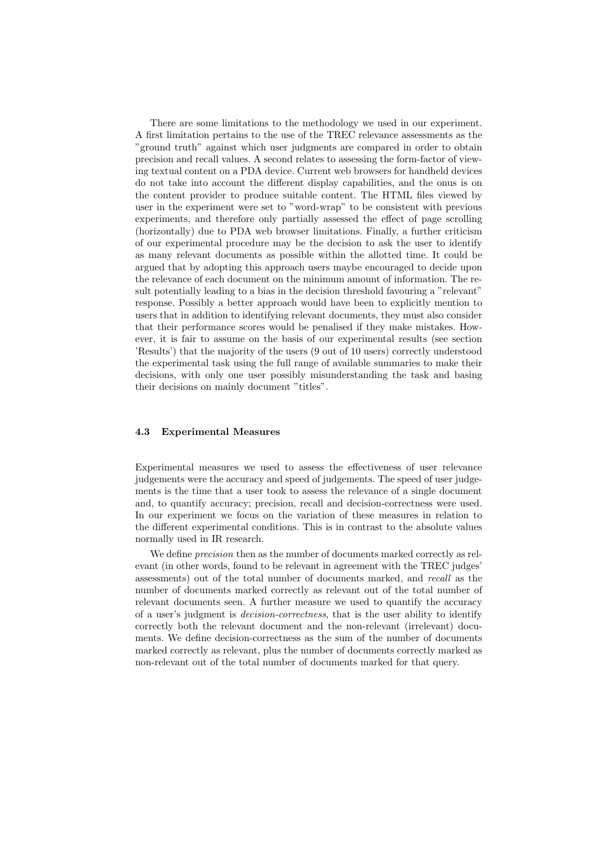There are some limitations to the methodology we used in our experiment. A first limitation pertains to the use of the TREC relevance assessments as the "ground truth" against which user judgments are compared in order to obtain precision and recall values. A second relates to assessing the form-factor of viewing textual content on a PDA device. Current web browsers for handheld devices do not take into account the different display capabilities, and the onus is on the content provider to produce suitable content. The HTML files viewed by user in the experiment were set to "word-wrap" to be consistent with previous experiments, and therefore only partially assessed the effect of page scrolling (horizontally) due to PDA web browser limitations. Finally, a further criticism of our experimental procedure may be the decision to ask the user to identify as many relevant documents as possible within the allotted time. It could be argued that by adopting this approach users maybe encouraged to decide upon the relevance of each document on the minimum amount of information. The result potentially leading to a bias in the decision threshold favouring a "relevant" response. Possibly a better approach would have been to explicitly mention to users that in addition to identifying relevant documents, they must also consider that their performance scores would be penalised if they make mistakes. However, it is fair to assume on the basis of our experimental results (see section 'Results') that the majority of the users (9 out of 10 users) correctly understood the experimental task using the full range of available summaries to make their decisions, with only one user possibly misunderstanding the task and basing their decisions on mainly document "titles".

#### 4.3 Experimental Measures

Experimental measures we used to assess the effectiveness of user relevance judgements were the accuracy and speed of judgements. The speed of user judgements is the time that a user took to assess the relevance of a single document and, to quantify accuracy; precision, recall and decision-correctness were used. In our experiment we focus on the variation of these measures in relation to the different experimental conditions. This is in contrast to the absolute values normally used in IR research.

We define *precision* then as the number of documents marked correctly as relevant (in other words, found to be relevant in agreement with the TREC judges' assessments) out of the total number of documents marked, and recall as the number of documents marked correctly as relevant out of the total number of relevant documents seen. A further measure we used to quantify the accuracy of a user's judgment is decision-correctness, that is the user ability to identify correctly both the relevant document and the non-relevant (irrelevant) documents. We define decision-correctness as the sum of the number of documents marked correctly as relevant, plus the number of documents correctly marked as non-relevant out of the total number of documents marked for that query.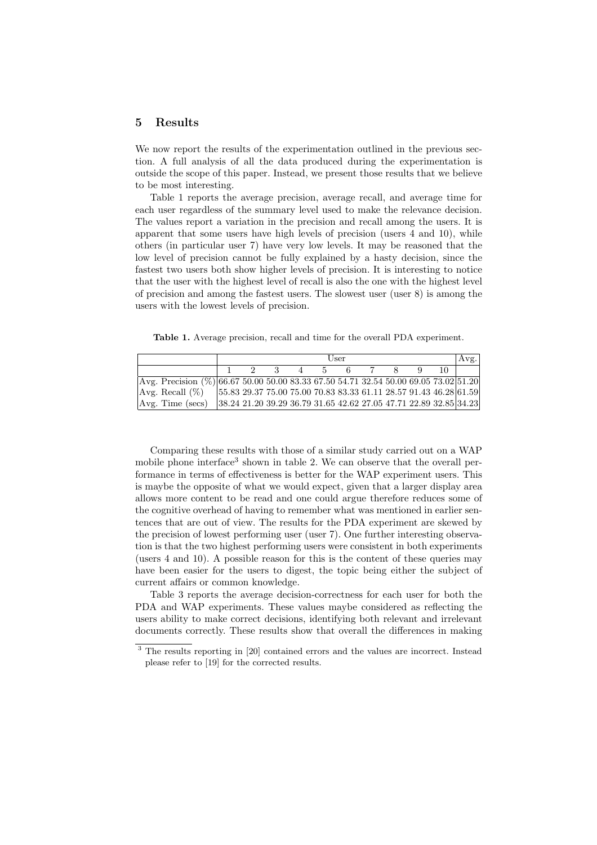# 5 Results

We now report the results of the experimentation outlined in the previous section. A full analysis of all the data produced during the experimentation is outside the scope of this paper. Instead, we present those results that we believe to be most interesting.

Table 1 reports the average precision, average recall, and average time for each user regardless of the summary level used to make the relevance decision. The values report a variation in the precision and recall among the users. It is apparent that some users have high levels of precision (users 4 and 10), while others (in particular user 7) have very low levels. It may be reasoned that the low level of precision cannot be fully explained by a hasty decision, since the fastest two users both show higher levels of precision. It is interesting to notice that the user with the highest level of recall is also the one with the highest level of precision and among the fastest users. The slowest user (user 8) is among the users with the lowest levels of precision.

Table 1. Average precision, recall and time for the overall PDA experiment.

|                                                                                                 |                                                                   | User |  |  |  |  |  |                 |  |  |  |  |
|-------------------------------------------------------------------------------------------------|-------------------------------------------------------------------|------|--|--|--|--|--|-----------------|--|--|--|--|
|                                                                                                 |                                                                   |      |  |  |  |  |  | 2 3 4 5 6 7 8 9 |  |  |  |  |
| Avg. Precision (%) 66.67 50.00 50.00 83.33 67.50 54.71 32.54 50.00 69.05 73.02 51.20            |                                                                   |      |  |  |  |  |  |                 |  |  |  |  |
| Avg. Recall (%) $ 55.83\ 29.37\ 75.00\ 75.00\ 70.83\ 83.33\ 61.11\ 28.57\ 91.43\ 46.28\ 61.59 $ |                                                                   |      |  |  |  |  |  |                 |  |  |  |  |
| Avg. Time (secs)                                                                                | 38.24 21.20 39.29 36.79 31.65 42.62 27.05 47.71 22.89 32.85 34.23 |      |  |  |  |  |  |                 |  |  |  |  |

Comparing these results with those of a similar study carried out on a WAP mobile phone interface<sup>3</sup> shown in table 2. We can observe that the overall performance in terms of effectiveness is better for the WAP experiment users. This is maybe the opposite of what we would expect, given that a larger display area allows more content to be read and one could argue therefore reduces some of the cognitive overhead of having to remember what was mentioned in earlier sentences that are out of view. The results for the PDA experiment are skewed by the precision of lowest performing user (user 7). One further interesting observation is that the two highest performing users were consistent in both experiments (users 4 and 10). A possible reason for this is the content of these queries may have been easier for the users to digest, the topic being either the subject of current affairs or common knowledge.

Table 3 reports the average decision-correctness for each user for both the PDA and WAP experiments. These values maybe considered as reflecting the users ability to make correct decisions, identifying both relevant and irrelevant documents correctly. These results show that overall the differences in making

<sup>3</sup> The results reporting in [20] contained errors and the values are incorrect. Instead please refer to [19] for the corrected results.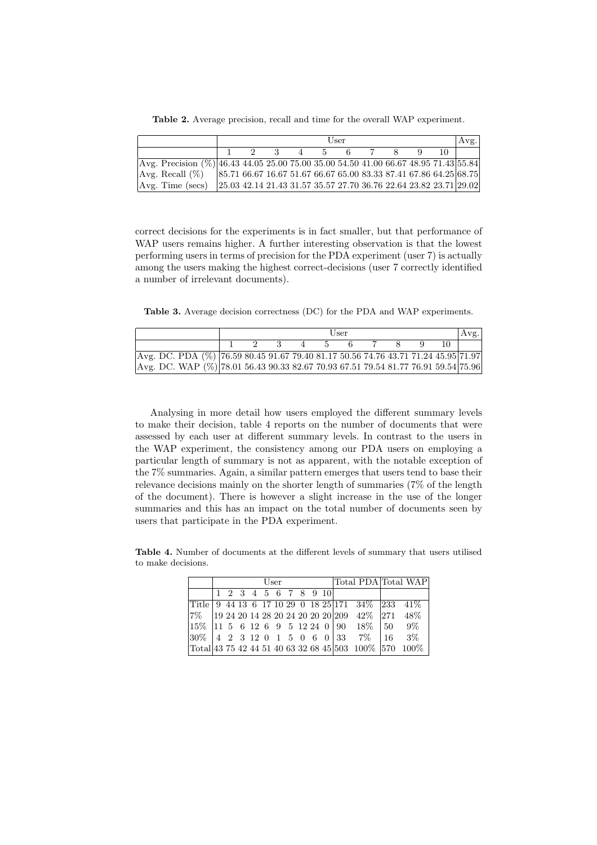Table 2. Average precision, recall and time for the overall WAP experiment.

|                                                                                      | User |  |  |  |  |  |           |  |  |                                                                   |  |
|--------------------------------------------------------------------------------------|------|--|--|--|--|--|-----------|--|--|-------------------------------------------------------------------|--|
|                                                                                      |      |  |  |  |  |  | 4 5 6 7 8 |  |  |                                                                   |  |
| Avg. Precision (%) 46.43 44.05 25.00 75.00 35.00 54.50 41.00 66.67 48.95 71.43 55.84 |      |  |  |  |  |  |           |  |  |                                                                   |  |
| Avg. Recall (%)   85.71 66.67 16.67 51.67 66.67 65.00 83.33 87.41 67.86 64.25 68.75  |      |  |  |  |  |  |           |  |  |                                                                   |  |
| Avg. Time (secs)                                                                     |      |  |  |  |  |  |           |  |  | 25.03 42.14 21.43 31.57 35.57 27.70 36.76 22.64 23.82 23.71 29.02 |  |

correct decisions for the experiments is in fact smaller, but that performance of WAP users remains higher. A further interesting observation is that the lowest performing users in terms of precision for the PDA experiment (user 7) is actually among the users making the highest correct-decisions (user 7 correctly identified a number of irrelevant documents).

Table 3. Average decision correctness (DC) for the PDA and WAP experiments.

|                                                                                               | User |  |  |  |  |  |       |  |  |  |  |
|-----------------------------------------------------------------------------------------------|------|--|--|--|--|--|-------|--|--|--|--|
|                                                                                               |      |  |  |  |  |  | 5 6 7 |  |  |  |  |
| Avg. DC. PDA (%) 76.59 80.45 91.67 79.40 81.17 50.56 74.76 43.71 71.24 45.95 71.97            |      |  |  |  |  |  |       |  |  |  |  |
| $\vert$ Avg. DC. WAP $(\%)$ 78.01 56.43 90.33 82.67 70.93 67.51 79.54 81.77 76.91 59.54 75.96 |      |  |  |  |  |  |       |  |  |  |  |

Analysing in more detail how users employed the different summary levels to make their decision, table 4 reports on the number of documents that were assessed by each user at different summary levels. In contrast to the users in the WAP experiment, the consistency among our PDA users on employing a particular length of summary is not as apparent, with the notable exception of the 7% summaries. Again, a similar pattern emerges that users tend to base their relevance decisions mainly on the shorter length of summaries (7% of the length of the document). There is however a slight increase in the use of the longer summaries and this has an impact on the total number of documents seen by users that participate in the PDA experiment.

Table 4. Number of documents at the different levels of summary that users utilised to make decisions.

|     | User |  |  |  |  |  |  |                      |  | Total PDA Total WAP                                              |     |       |
|-----|------|--|--|--|--|--|--|----------------------|--|------------------------------------------------------------------|-----|-------|
|     |      |  |  |  |  |  |  | 1 2 3 4 5 6 7 8 9 10 |  |                                                                  |     |       |
|     |      |  |  |  |  |  |  |                      |  | $ Title  9 44 13 6 17 10 29 0 18 25   171 34%   233 41%$         |     |       |
| 17% |      |  |  |  |  |  |  |                      |  | 19 24 20 14 28 20 24 20 20 20 20 20 42%   271 48%                |     |       |
|     |      |  |  |  |  |  |  |                      |  | $ 15\% $ 11 5 6 12 6 9 5 12 24 0 90 18 $\%$ 50                   |     | $9\%$ |
| 30% |      |  |  |  |  |  |  |                      |  | $ 4 \t2 \t3 \t12 \t0 \t1 \t5 \t0 \t6 \t0 \t33 \t7\%$             | -16 | $3\%$ |
|     |      |  |  |  |  |  |  |                      |  | $\text{Total}$ 43 75 42 44 51 40 63 32 68 45 503 100\% 570 100\% |     |       |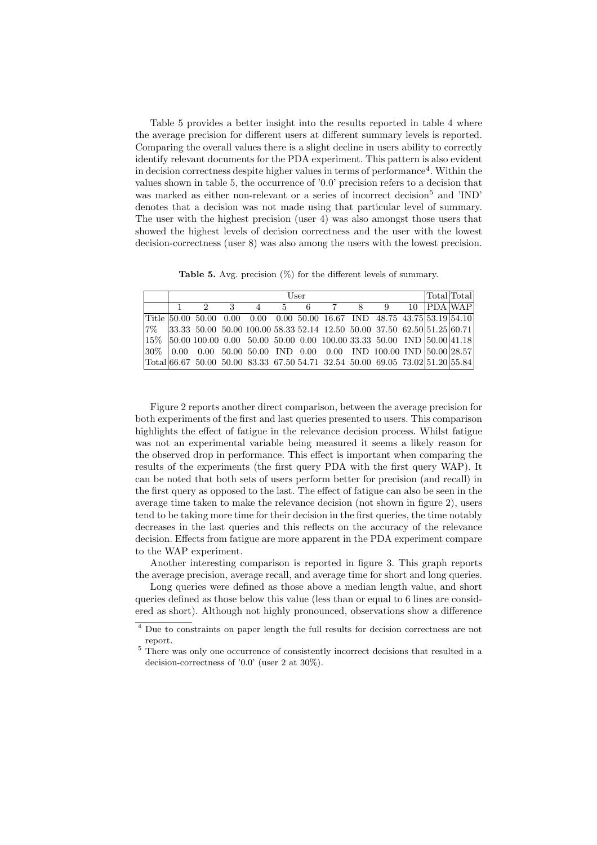Table 5 provides a better insight into the results reported in table 4 where the average precision for different users at different summary levels is reported. Comparing the overall values there is a slight decline in users ability to correctly identify relevant documents for the PDA experiment. This pattern is also evident in decision correctness despite higher values in terms of performance<sup>4</sup>. Within the values shown in table 5, the occurrence of '0.0' precision refers to a decision that was marked as either non-relevant or a series of incorrect decision<sup>5</sup> and 'IND' denotes that a decision was not made using that particular level of summary. The user with the highest precision (user 4) was also amongst those users that showed the highest levels of decision correctness and the user with the lowest decision-correctness (user 8) was also among the users with the lowest precision.

**Table 5.** Avg. precision  $(\%)$  for the different levels of summary.

|  | Total Total<br>User |    |  |  |  |  |  |                                                                                                                                      |  |  |               |
|--|---------------------|----|--|--|--|--|--|--------------------------------------------------------------------------------------------------------------------------------------|--|--|---------------|
|  | $\mathcal{D}$       | -3 |  |  |  |  |  | 4 5 6 7 8 9                                                                                                                          |  |  | $10$  PDA WAP |
|  |                     |    |  |  |  |  |  | Title $ 50.00\;\;50.00\;\;0.00\;\;0.00\;\;0.00\;\;0.00\;\;50.00\;\;16.67\;\; \text{IND}\;\;48.75\;\;43.75 53.19 54.10 $              |  |  |               |
|  |                     |    |  |  |  |  |  | $\begin{bmatrix} 7\% & 33.33 & 50.00 & 50.00 & 100.00 & 58.33 & 52.14 & 12.50 & 50.00 & 37.50 & 62.50 & 51.25 & 60.71 \end{bmatrix}$ |  |  |               |
|  |                     |    |  |  |  |  |  | $ 15\% $ 50.00 100.00 0.00 50.00 50.00 0.00 100.00 33.33 50.00 IND 50.00 41.18                                                       |  |  |               |
|  |                     |    |  |  |  |  |  | $ 30\% $ 0.00 0.00 50.00 50.00 IND 0.00 0.00 IND 100.00 IND $ 50.00 28.57 $                                                          |  |  |               |
|  |                     |    |  |  |  |  |  | $\text{Total}$ 66.67 50.00 50.00 83.33 67.50 54.71 32.54 50.00 69.05 73.02 51.20 55.84                                               |  |  |               |

Figure 2 reports another direct comparison, between the average precision for both experiments of the first and last queries presented to users. This comparison highlights the effect of fatigue in the relevance decision process. Whilst fatigue was not an experimental variable being measured it seems a likely reason for the observed drop in performance. This effect is important when comparing the results of the experiments (the first query PDA with the first query WAP). It can be noted that both sets of users perform better for precision (and recall) in the first query as opposed to the last. The effect of fatigue can also be seen in the average time taken to make the relevance decision (not shown in figure 2), users tend to be taking more time for their decision in the first queries, the time notably decreases in the last queries and this reflects on the accuracy of the relevance decision. Effects from fatigue are more apparent in the PDA experiment compare to the WAP experiment.

Another interesting comparison is reported in figure 3. This graph reports the average precision, average recall, and average time for short and long queries.

Long queries were defined as those above a median length value, and short queries defined as those below this value (less than or equal to 6 lines are considered as short). Although not highly pronounced, observations show a difference

<sup>4</sup> Due to constraints on paper length the full results for decision correctness are not report.

<sup>&</sup>lt;sup>5</sup> There was only one occurrence of consistently incorrect decisions that resulted in a decision-correctness of '0.0' (user 2 at 30%).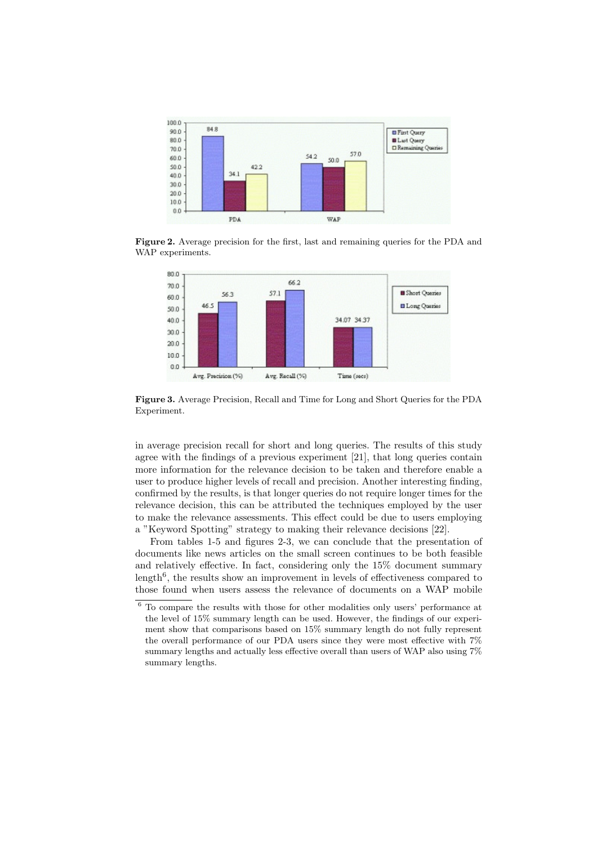

Figure 2. Average precision for the first, last and remaining queries for the PDA and WAP experiments.



Figure 3. Average Precision, Recall and Time for Long and Short Queries for the PDA Experiment.

in average precision recall for short and long queries. The results of this study agree with the findings of a previous experiment [21], that long queries contain more information for the relevance decision to be taken and therefore enable a user to produce higher levels of recall and precision. Another interesting finding, confirmed by the results, is that longer queries do not require longer times for the relevance decision, this can be attributed the techniques employed by the user to make the relevance assessments. This effect could be due to users employing a "Keyword Spotting" strategy to making their relevance decisions [22].

From tables 1-5 and figures 2-3, we can conclude that the presentation of documents like news articles on the small screen continues to be both feasible and relatively effective. In fact, considering only the 15% document summary length<sup>6</sup>, the results show an improvement in levels of effectiveness compared to those found when users assess the relevance of documents on a WAP mobile

 $6$  To compare the results with those for other modalities only users' performance at the level of 15% summary length can be used. However, the findings of our experiment show that comparisons based on 15% summary length do not fully represent the overall performance of our PDA users since they were most effective with 7% summary lengths and actually less effective overall than users of WAP also using 7% summary lengths.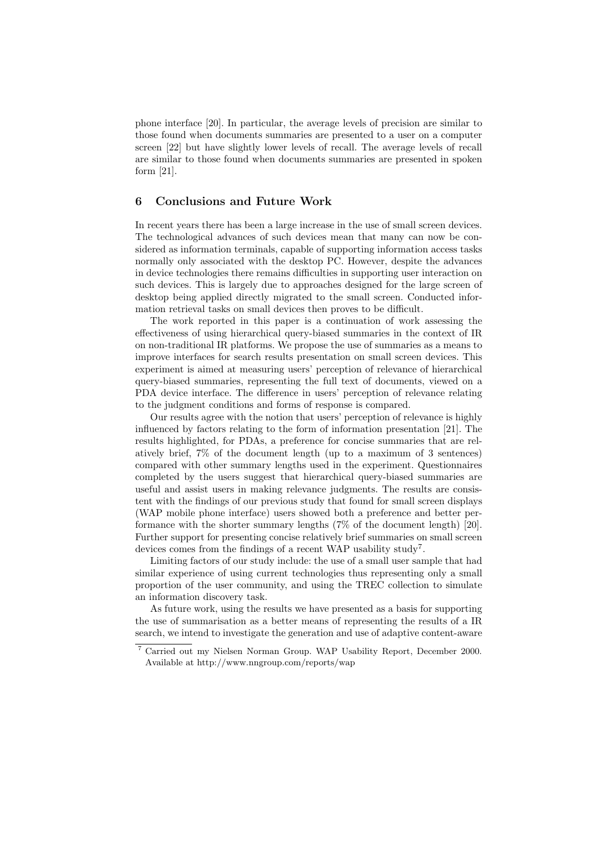phone interface [20]. In particular, the average levels of precision are similar to those found when documents summaries are presented to a user on a computer screen [22] but have slightly lower levels of recall. The average levels of recall are similar to those found when documents summaries are presented in spoken form [21].

# 6 Conclusions and Future Work

In recent years there has been a large increase in the use of small screen devices. The technological advances of such devices mean that many can now be considered as information terminals, capable of supporting information access tasks normally only associated with the desktop PC. However, despite the advances in device technologies there remains difficulties in supporting user interaction on such devices. This is largely due to approaches designed for the large screen of desktop being applied directly migrated to the small screen. Conducted information retrieval tasks on small devices then proves to be difficult.

The work reported in this paper is a continuation of work assessing the effectiveness of using hierarchical query-biased summaries in the context of IR on non-traditional IR platforms. We propose the use of summaries as a means to improve interfaces for search results presentation on small screen devices. This experiment is aimed at measuring users' perception of relevance of hierarchical query-biased summaries, representing the full text of documents, viewed on a PDA device interface. The difference in users' perception of relevance relating to the judgment conditions and forms of response is compared.

Our results agree with the notion that users' perception of relevance is highly influenced by factors relating to the form of information presentation [21]. The results highlighted, for PDAs, a preference for concise summaries that are relatively brief, 7% of the document length (up to a maximum of 3 sentences) compared with other summary lengths used in the experiment. Questionnaires completed by the users suggest that hierarchical query-biased summaries are useful and assist users in making relevance judgments. The results are consistent with the findings of our previous study that found for small screen displays (WAP mobile phone interface) users showed both a preference and better performance with the shorter summary lengths (7% of the document length) [20]. Further support for presenting concise relatively brief summaries on small screen devices comes from the findings of a recent WAP usability study<sup>7</sup>.

Limiting factors of our study include: the use of a small user sample that had similar experience of using current technologies thus representing only a small proportion of the user community, and using the TREC collection to simulate an information discovery task.

As future work, using the results we have presented as a basis for supporting the use of summarisation as a better means of representing the results of a IR search, we intend to investigate the generation and use of adaptive content-aware

<sup>7</sup> Carried out my Nielsen Norman Group. WAP Usability Report, December 2000. Available at http://www.nngroup.com/reports/wap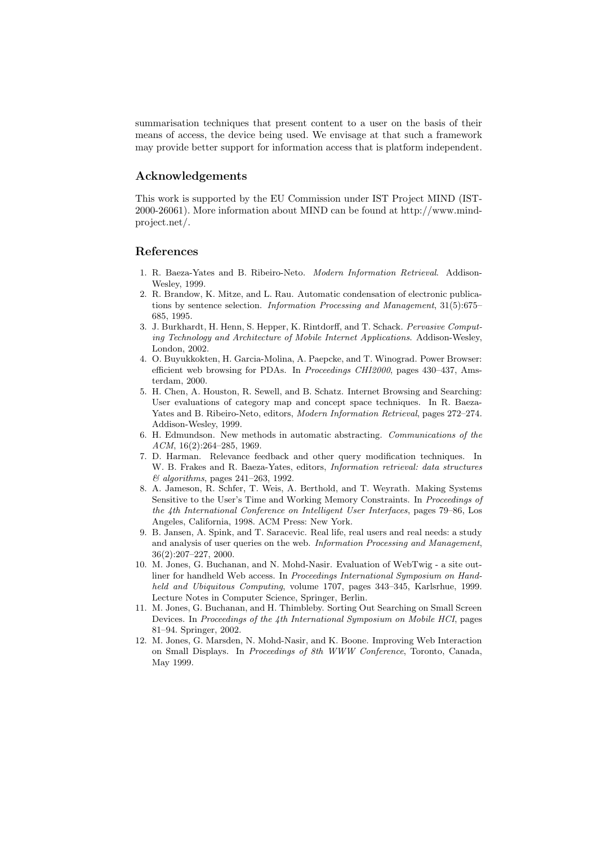summarisation techniques that present content to a user on the basis of their means of access, the device being used. We envisage at that such a framework may provide better support for information access that is platform independent.

# Acknowledgements

This work is supported by the EU Commission under IST Project MIND (IST-2000-26061). More information about MIND can be found at http://www.mindproject.net/.

# References

- 1. R. Baeza-Yates and B. Ribeiro-Neto. Modern Information Retrieval. Addison-Wesley, 1999.
- 2. R. Brandow, K. Mitze, and L. Rau. Automatic condensation of electronic publications by sentence selection. Information Processing and Management, 31(5):675– 685, 1995.
- 3. J. Burkhardt, H. Henn, S. Hepper, K. Rintdorff, and T. Schack. Pervasive Computing Technology and Architecture of Mobile Internet Applications. Addison-Wesley, London, 2002.
- 4. O. Buyukkokten, H. Garcia-Molina, A. Paepcke, and T. Winograd. Power Browser: efficient web browsing for PDAs. In Proceedings CHI2000, pages 430–437, Amsterdam, 2000.
- 5. H. Chen, A. Houston, R. Sewell, and B. Schatz. Internet Browsing and Searching: User evaluations of category map and concept space techniques. In R. Baeza-Yates and B. Ribeiro-Neto, editors, Modern Information Retrieval, pages 272–274. Addison-Wesley, 1999.
- 6. H. Edmundson. New methods in automatic abstracting. Communications of the  $ACM$ ,  $16(2):264-285$ , 1969.
- 7. D. Harman. Relevance feedback and other query modification techniques. In W. B. Frakes and R. Baeza-Yates, editors, Information retrieval: data structures  $\mathcal{C}$  algorithms, pages 241-263, 1992.
- 8. A. Jameson, R. Schfer, T. Weis, A. Berthold, and T. Weyrath. Making Systems Sensitive to the User's Time and Working Memory Constraints. In Proceedings of the 4th International Conference on Intelligent User Interfaces, pages 79–86, Los Angeles, California, 1998. ACM Press: New York.
- 9. B. Jansen, A. Spink, and T. Saracevic. Real life, real users and real needs: a study and analysis of user queries on the web. Information Processing and Management, 36(2):207–227, 2000.
- 10. M. Jones, G. Buchanan, and N. Mohd-Nasir. Evaluation of WebTwig a site outliner for handheld Web access. In Proceedings International Symposium on Handheld and Ubiquitous Computing, volume 1707, pages 343–345, Karlsrhue, 1999. Lecture Notes in Computer Science, Springer, Berlin.
- 11. M. Jones, G. Buchanan, and H. Thimbleby. Sorting Out Searching on Small Screen Devices. In Proceedings of the 4th International Symposium on Mobile HCI, pages 81–94. Springer, 2002.
- 12. M. Jones, G. Marsden, N. Mohd-Nasir, and K. Boone. Improving Web Interaction on Small Displays. In Proceedings of 8th WWW Conference, Toronto, Canada, May 1999.